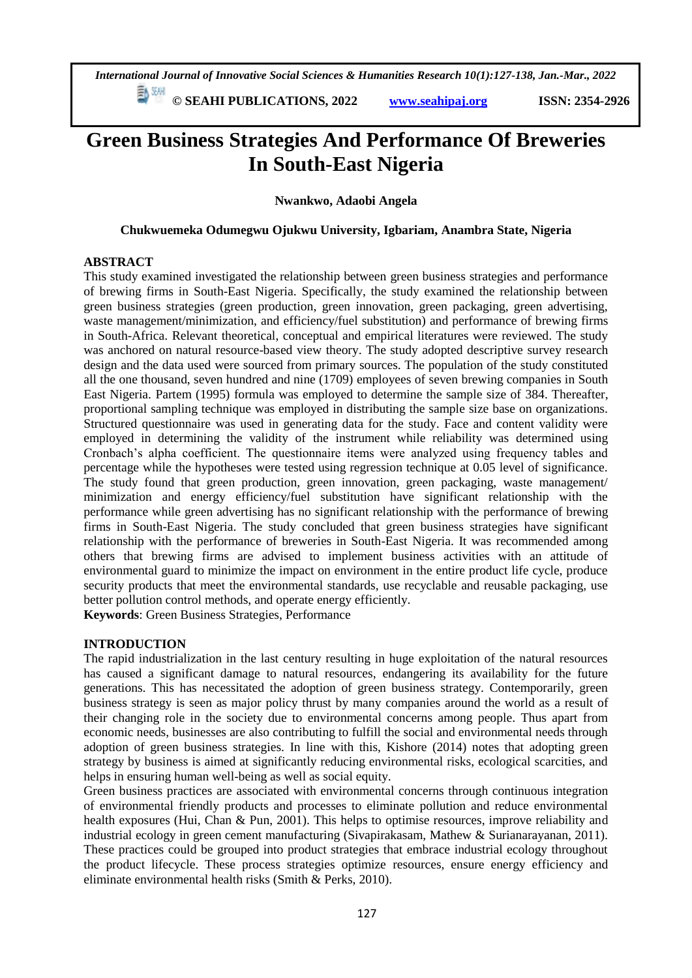*International Journal of Innovative Social Sciences & Humanities Research 10(1):127-138, Jan.-Mar., 2022*

 **© SEAHI PUBLICATIONS, 2022 [www.seahipaj.org](http://www.seahipaj.org/) ISSN: 2354-2926** 

# **Green Business Strategies And Performance Of Breweries In South-East Nigeria**

**Nwankwo, Adaobi Angela**

#### **Chukwuemeka Odumegwu Ojukwu University, Igbariam, Anambra State, Nigeria**

### **ABSTRACT**

This study examined investigated the relationship between green business strategies and performance of brewing firms in South-East Nigeria. Specifically, the study examined the relationship between green business strategies (green production, green innovation, green packaging, green advertising, waste management/minimization, and efficiency/fuel substitution) and performance of brewing firms in South-Africa. Relevant theoretical, conceptual and empirical literatures were reviewed. The study was anchored on natural resource-based view theory. The study adopted descriptive survey research design and the data used were sourced from primary sources. The population of the study constituted all the one thousand, seven hundred and nine (1709) employees of seven brewing companies in South East Nigeria. Partem (1995) formula was employed to determine the sample size of 384. Thereafter, proportional sampling technique was employed in distributing the sample size base on organizations. Structured questionnaire was used in generating data for the study. Face and content validity were employed in determining the validity of the instrument while reliability was determined using Cronbach's alpha coefficient. The questionnaire items were analyzed using frequency tables and percentage while the hypotheses were tested using regression technique at 0.05 level of significance. The study found that green production, green innovation, green packaging, waste management/ minimization and energy efficiency/fuel substitution have significant relationship with the performance while green advertising has no significant relationship with the performance of brewing firms in South-East Nigeria. The study concluded that green business strategies have significant relationship with the performance of breweries in South-East Nigeria. It was recommended among others that brewing firms are advised to implement business activities with an attitude of environmental guard to minimize the impact on environment in the entire product life cycle, produce security products that meet the environmental standards, use recyclable and reusable packaging, use better pollution control methods, and operate energy efficiently.

**Keywords**: Green Business Strategies, Performance

#### **INTRODUCTION**

The rapid industrialization in the last century resulting in huge exploitation of the natural resources has caused a significant damage to natural resources, endangering its availability for the future generations. This has necessitated the adoption of green business strategy. Contemporarily, green business strategy is seen as major policy thrust by many companies around the world as a result of their changing role in the society due to environmental concerns among people. Thus apart from economic needs, businesses are also contributing to fulfill the social and environmental needs through adoption of green business strategies. In line with this, Kishore (2014) notes that adopting green strategy by business is aimed at significantly reducing environmental risks, ecological scarcities, and helps in ensuring human well-being as well as social equity.

Green business practices are associated with environmental concerns through continuous integration of environmental friendly products and processes to eliminate pollution and reduce environmental health exposures (Hui, Chan & Pun, 2001). This helps to optimise resources, improve reliability and industrial ecology in green cement manufacturing (Sivapirakasam, Mathew & Surianarayanan, 2011). These practices could be grouped into product strategies that embrace industrial ecology throughout the product lifecycle. These process strategies optimize resources, ensure energy efficiency and eliminate environmental health risks (Smith & Perks, 2010).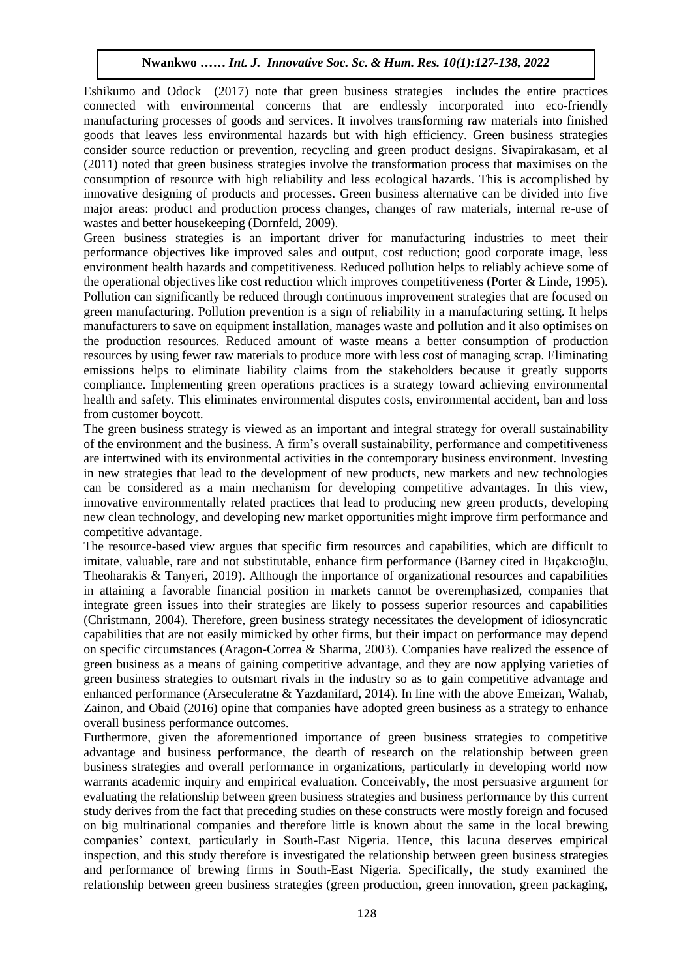Eshikumo and Odock (2017) note that green business strategies includes the entire practices connected with environmental concerns that are endlessly incorporated into eco-friendly manufacturing processes of goods and services. It involves transforming raw materials into finished goods that leaves less environmental hazards but with high efficiency. Green business strategies consider source reduction or prevention, recycling and green product designs. Sivapirakasam, et al consider source reduction or prevention, recycling and green product designs. Sivaphrakasani, et and (2011) noted that green business strategies involve the transformation process that maximises on the consumption of resource with high reliability and less ecological hazards. This is accomplished by innovative designing of products and processes. Green business alternative can be divided into five innovative designing of products and processes. Green business alternative can be divided into five major areas: product and production process changes, changes of raw materials, internal re-use of mayor areas. Product and production process enanges, enanges of raw materials, invastes and better housekeeping (Dornfeld, 2009).

Green business strategies is an important driver for manufacturing industries to meet their performance objectives like improved sales and output, cost reduction; good corporate image, less environment health hazards and competitiveness. Reduced pollution helps to reliably achieve some of the operational objectives like cost reduction which improves competitiveness (Porter & Linde, 1995). Pollution can significantly be reduced through continuous improvement strategies that are focused on green manufacturing. Pollution prevention is a sign of reliability in a manufacturing setting. It helps manufacturers to save on equipment installation, manages waste and pollution and it also optimises on the production resources. Reduced amount of waste means a better consumption of production resources by using fewer raw materials to produce more with less cost of managing scrap. Eliminating emissions helps to eliminate liability claims from the stakeholders because it greatly supports compliance. Implementing green operations practices is a strategy toward achieving environmental health and safety. This eliminates environmental disputes costs, environmental accident, ban and loss from customer boycott.

The green business strategy is viewed as an important and integral strategy for overall sustainability of the environment and the business. A firm's overall sustainability, performance and competitiveness are intertwined with its environmental activities in the contemporary business environment. Investing in new strategies that lead to the development of new products, new markets and new technologies can be considered as a main mechanism for developing competitive advantages. In this view, innovative environmentally related practices that lead to producing new green products, developing new clean technology, and developing new market opportunities might improve firm performance and competitive advantage.

The resource-based view argues that specific firm resources and capabilities, which are difficult to imitate, valuable, rare and not substitutable, enhance firm performance (Barney cited in Bıçakcıoğlu, Theoharakis & Tanyeri, 2019). Although the importance of organizational resources and capabilities in attaining a favorable financial position in markets cannot be overemphasized, companies that integrate green issues into their strategies are likely to possess superior resources and capabilities (Christmann, 2004). Therefore, green business strategy necessitates the development of idiosyncratic capabilities that are not easily mimicked by other firms, but their impact on performance may depend on specific circumstances (Aragon-Correa & Sharma, 2003). Companies have realized the essence of green business as a means of gaining competitive advantage, and they are now applying varieties of green business strategies to outsmart rivals in the industry so as to gain competitive advantage and enhanced performance (Arseculeratne & Yazdanifard, 2014). In line with the above Emeizan, Wahab, Zainon, and Obaid (2016) opine that companies have adopted green business as a strategy to enhance overall business performance outcomes.

Furthermore, given the aforementioned importance of green business strategies to competitive advantage and business performance, the dearth of research on the relationship between green business strategies and overall performance in organizations, particularly in developing world now warrants academic inquiry and empirical evaluation. Conceivably, the most persuasive argument for evaluating the relationship between green business strategies and business performance by this current study derives from the fact that preceding studies on these constructs were mostly foreign and focused on big multinational companies and therefore little is known about the same in the local brewing companies' context, particularly in South-East Nigeria. Hence, this lacuna deserves empirical inspection, and this study therefore is investigated the relationship between green business strategies and performance of brewing firms in South-East Nigeria. Specifically, the study examined the relationship between green business strategies (green production, green innovation, green packaging,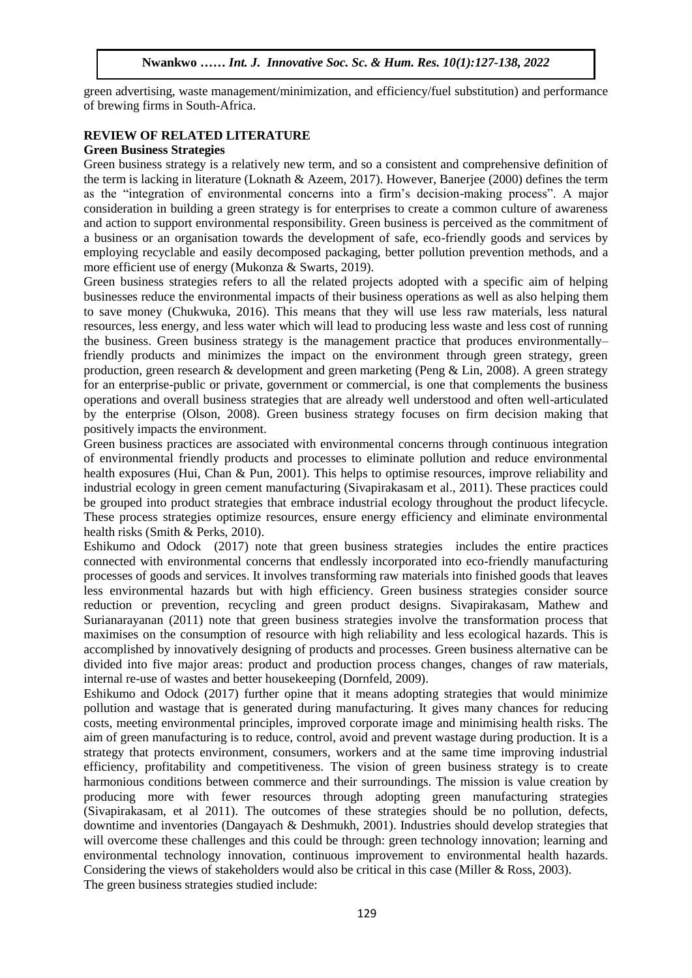green advertising, waste management/minimization, and efficiency/fuel substitution) and performance of brewing firms in South-Africa.

#### **REVIEW OF RELATED LITERATURE Green Business Strategies**   $\overline{A}$

Green business strategies<br>Green business strategy is a relatively new term, and so a consistent and comprehensive definition of the term is lacking in literature (Loknath & Azeem, 2017). However, Banerjee (2000) defines the term as the "integration of environmental concerns into a firm's decision-making process". A major as the "integration of environmental concerns into a firm's decision-making process". A major consideration in building a green strategy is for enterprises to create a common culture of awareness and action to support environmental responsibility. Green business is perceived as the commitment of a business or an organisation towards the development of safe, eco-friendly goods and services by employing recyclable and easily decomposed packaging, better pollution prevention methods, and a more efficient use of energy (Mukonza & Swarts, 2019).

Green business strategies refers to all the related projects adopted with a specific aim of helping businesses reduce the environmental impacts of their business operations as well as also helping them to save money (Chukwuka, 2016). This means that they will use less raw materials, less natural resources, less energy, and less water which will lead to producing less waste and less cost of running the business. Green business strategy is the management practice that produces environmentally– friendly products and minimizes the impact on the environment through green strategy, green production, green research & development and green marketing (Peng  $\&$  Lin, 2008). A green strategy for an enterprise-public or private, government or commercial, is one that complements the business operations and overall business strategies that are already well understood and often well-articulated by the enterprise (Olson, 2008). Green business strategy focuses on firm decision making that positively impacts the environment.

Green business practices are associated with environmental concerns through continuous integration of environmental friendly products and processes to eliminate pollution and reduce environmental health exposures (Hui, Chan & Pun, 2001). This helps to optimise resources, improve reliability and industrial ecology in green cement manufacturing (Sivapirakasam et al., 2011). These practices could be grouped into product strategies that embrace industrial ecology throughout the product lifecycle. These process strategies optimize resources, ensure energy efficiency and eliminate environmental health risks (Smith & Perks, 2010).

Eshikumo and Odock (2017) note that green business strategies includes the entire practices connected with environmental concerns that endlessly incorporated into eco-friendly manufacturing processes of goods and services. It involves transforming raw materials into finished goods that leaves less environmental hazards but with high efficiency. Green business strategies consider source reduction or prevention, recycling and green product designs. Sivapirakasam, Mathew and Surianarayanan (2011) note that green business strategies involve the transformation process that maximises on the consumption of resource with high reliability and less ecological hazards. This is accomplished by innovatively designing of products and processes. Green business alternative can be divided into five major areas: product and production process changes, changes of raw materials, internal re-use of wastes and better housekeeping (Dornfeld, 2009).

Eshikumo and Odock (2017) further opine that it means adopting strategies that would minimize pollution and wastage that is generated during manufacturing. It gives many chances for reducing costs, meeting environmental principles, improved corporate image and minimising health risks. The aim of green manufacturing is to reduce, control, avoid and prevent wastage during production. It is a strategy that protects environment, consumers, workers and at the same time improving industrial efficiency, profitability and competitiveness. The vision of green business strategy is to create harmonious conditions between commerce and their surroundings. The mission is value creation by producing more with fewer resources through adopting green manufacturing strategies (Sivapirakasam, et al 2011). The outcomes of these strategies should be no pollution, defects, downtime and inventories (Dangayach & Deshmukh, 2001). Industries should develop strategies that will overcome these challenges and this could be through: green technology innovation; learning and environmental technology innovation, continuous improvement to environmental health hazards. Considering the views of stakeholders would also be critical in this case (Miller & Ross, 2003). The green business strategies studied include: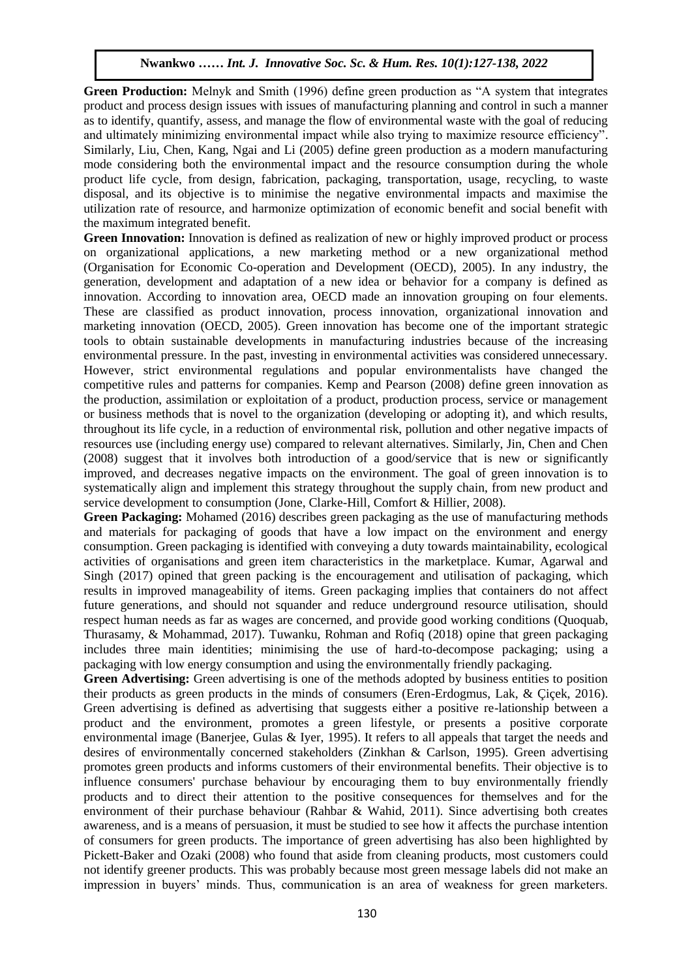Green Production: Melnyk and Smith (1996) define green production as "A system that integrates product and process design issues with issues of manufacturing planning and control in such a manner as to identify, quantify, assess, and manage the flow of environmental waste with the goal of reducing and ultimately minimizing environmental impact while also trying to maximize resource efficiency". Similarly, Liu, Chen, Kang, Ngai and Li (2005) define green production as a modern manufacturing Sumary, Eta, Chen, Kang, Ngar and Et (2005) define green production as a modern manufacturing mode considering both the environmental impact and the resource consumption during the whole product life cycle, from design, fabrication, packaging, transportation, usage, recycling, to waste product the cycle, from design, natrication, packaging, analyoriation, asage, recycling, to wasted disposal, and its objective is to minimise the negative environmental impacts and maximise the utilization rate of resource, and harmonize optimization of economic benefit and social benefit with the maximum integrated benefit.

**Green Innovation:** Innovation is defined as realization of new or highly improved product or process on organizational applications, a new marketing method or a new organizational method (Organisation for Economic Co-operation and Development (OECD), 2005). In any industry, the generation, development and adaptation of a new idea or behavior for a company is defined as innovation. According to innovation area, OECD made an innovation grouping on four elements. These are classified as product innovation, process innovation, organizational innovation and marketing innovation (OECD, 2005). Green innovation has become one of the important strategic tools to obtain sustainable developments in manufacturing industries because of the increasing environmental pressure. In the past, investing in environmental activities was considered unnecessary. However, strict environmental regulations and popular environmentalists have changed the competitive rules and patterns for companies. Kemp and Pearson (2008) define green innovation as the production, assimilation or exploitation of a product, production process, service or management or business methods that is novel to the organization (developing or adopting it), and which results, throughout its life cycle, in a reduction of environmental risk, pollution and other negative impacts of resources use (including energy use) compared to relevant alternatives. Similarly, Jin, Chen and Chen (2008) suggest that it involves both introduction of a good/service that is new or significantly improved, and decreases negative impacts on the environment. The goal of green innovation is to systematically align and implement this strategy throughout the supply chain, from new product and service development to consumption (Jone, Clarke-Hill, Comfort & Hillier, 2008).

**Green Packaging:** Mohamed (2016) describes green packaging as the use of manufacturing methods and materials for packaging of goods that have a low impact on the environment and energy consumption. Green packaging is identified with conveying a duty towards maintainability, ecological activities of organisations and green item characteristics in the marketplace. Kumar, Agarwal and Singh (2017) opined that green packing is the encouragement and utilisation of packaging, which results in improved manageability of items. Green packaging implies that containers do not affect future generations, and should not squander and reduce underground resource utilisation, should respect human needs as far as wages are concerned, and provide good working conditions (Quoquab, Thurasamy, & Mohammad, 2017). Tuwanku, Rohman and Rofiq (2018) opine that green packaging includes three main identities; minimising the use of hard-to-decompose packaging; using a packaging with low energy consumption and using the environmentally friendly packaging.

Green Advertising: Green advertising is one of the methods adopted by business entities to position their products as green products in the minds of consumers (Eren-Erdogmus, Lak, & Çiçek, 2016). Green advertising is defined as advertising that suggests either a positive re-lationship between a product and the environment, promotes a green lifestyle, or presents a positive corporate environmental image (Banerjee, Gulas & Iyer, 1995). It refers to all appeals that target the needs and desires of environmentally concerned stakeholders (Zinkhan & Carlson, 1995). Green advertising promotes green products and informs customers of their environmental benefits. Their objective is to influence consumers' purchase behaviour by encouraging them to buy environmentally friendly products and to direct their attention to the positive consequences for themselves and for the environment of their purchase behaviour (Rahbar & Wahid, 2011). Since advertising both creates awareness, and is a means of persuasion, it must be studied to see how it affects the purchase intention of consumers for green products. The importance of green advertising has also been highlighted by Pickett-Baker and Ozaki (2008) who found that aside from cleaning products, most customers could not identify greener products. This was probably because most green message labels did not make an impression in buyers' minds. Thus, communication is an area of weakness for green marketers.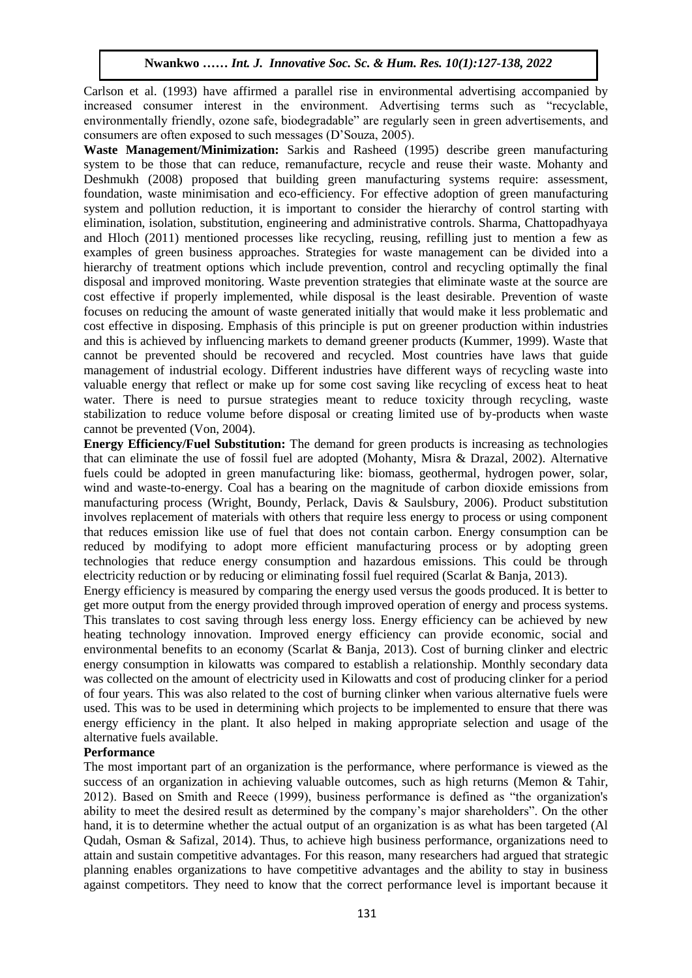Carlson et al. (1993) have affirmed a parallel rise in environmental advertising accompanied by increased consumer interest in the environment. Advertising terms such as "recyclable, environmentally friendly, ozone safe, biodegradable" are regularly seen in green advertisements, and consumers are often exposed to such messages (D'Souza, 2005).

**Waste Management/Minimization:** Sarkis and Rasheed (1995) describe green manufacturing waste **Management/Minimization.** Sands and Rasheed (1995) describe green manufacturing system to be those that can reduce, remanufacture, recycle and reuse their waste. Mohanty and Deshmukh (2008) proposed that building green manufacturing systems require: assessment, Examination, waste minimisation and eco-efficiency. For effective adoption of green manufacturing foundation, waste minimisation and eco-efficiency. For effective adoption of green manufacturing system and pollution reduction, it is important to consider the hierarchy of control starting with elimination, isolation, substitution, engineering and administrative controls. Sharma, Chattopadhyaya and Hloch (2011) mentioned processes like recycling, reusing, refilling just to mention a few as examples of green business approaches. Strategies for waste management can be divided into a hierarchy of treatment options which include prevention, control and recycling optimally the final disposal and improved monitoring. Waste prevention strategies that eliminate waste at the source are cost effective if properly implemented, while disposal is the least desirable. Prevention of waste focuses on reducing the amount of waste generated initially that would make it less problematic and cost effective in disposing. Emphasis of this principle is put on greener production within industries and this is achieved by influencing markets to demand greener products (Kummer, 1999). Waste that cannot be prevented should be recovered and recycled. Most countries have laws that guide management of industrial ecology. Different industries have different ways of recycling waste into valuable energy that reflect or make up for some cost saving like recycling of excess heat to heat water. There is need to pursue strategies meant to reduce toxicity through recycling, waste stabilization to reduce volume before disposal or creating limited use of by-products when waste cannot be prevented (Von, 2004).

**Energy Efficiency/Fuel Substitution:** The demand for green products is increasing as technologies that can eliminate the use of fossil fuel are adopted (Mohanty, Misra & Drazal, 2002). Alternative fuels could be adopted in green manufacturing like: biomass, geothermal, hydrogen power, solar, wind and waste-to-energy. Coal has a bearing on the magnitude of carbon dioxide emissions from manufacturing process (Wright, Boundy, Perlack, Davis & Saulsbury, 2006). Product substitution involves replacement of materials with others that require less energy to process or using component that reduces emission like use of fuel that does not contain carbon. Energy consumption can be reduced by modifying to adopt more efficient manufacturing process or by adopting green technologies that reduce energy consumption and hazardous emissions. This could be through electricity reduction or by reducing or eliminating fossil fuel required (Scarlat & Banja, 2013).

Energy efficiency is measured by comparing the energy used versus the goods produced. It is better to get more output from the energy provided through improved operation of energy and process systems. This translates to cost saving through less energy loss. Energy efficiency can be achieved by new heating technology innovation. Improved energy efficiency can provide economic, social and environmental benefits to an economy (Scarlat & Banja, 2013). Cost of burning clinker and electric energy consumption in kilowatts was compared to establish a relationship. Monthly secondary data was collected on the amount of electricity used in Kilowatts and cost of producing clinker for a period of four years. This was also related to the cost of burning clinker when various alternative fuels were used. This was to be used in determining which projects to be implemented to ensure that there was energy efficiency in the plant. It also helped in making appropriate selection and usage of the alternative fuels available.

#### **Performance**

The most important part of an organization is the performance, where performance is viewed as the success of an organization in achieving valuable outcomes, such as high returns (Memon & Tahir, 2012). Based on Smith and Reece (1999), business performance is defined as "the organization's ability to meet the desired result as determined by the company's major shareholders". On the other hand, it is to determine whether the actual output of an organization is as what has been targeted (Al Qudah, Osman & Safizal,  $2014$ ). Thus, to achieve high business performance, organizations need to attain and sustain competitive advantages. For this reason, many researchers had argued that strategic planning enables organizations to have competitive advantages and the ability to stay in business against competitors. They need to know that the correct performance level is important because it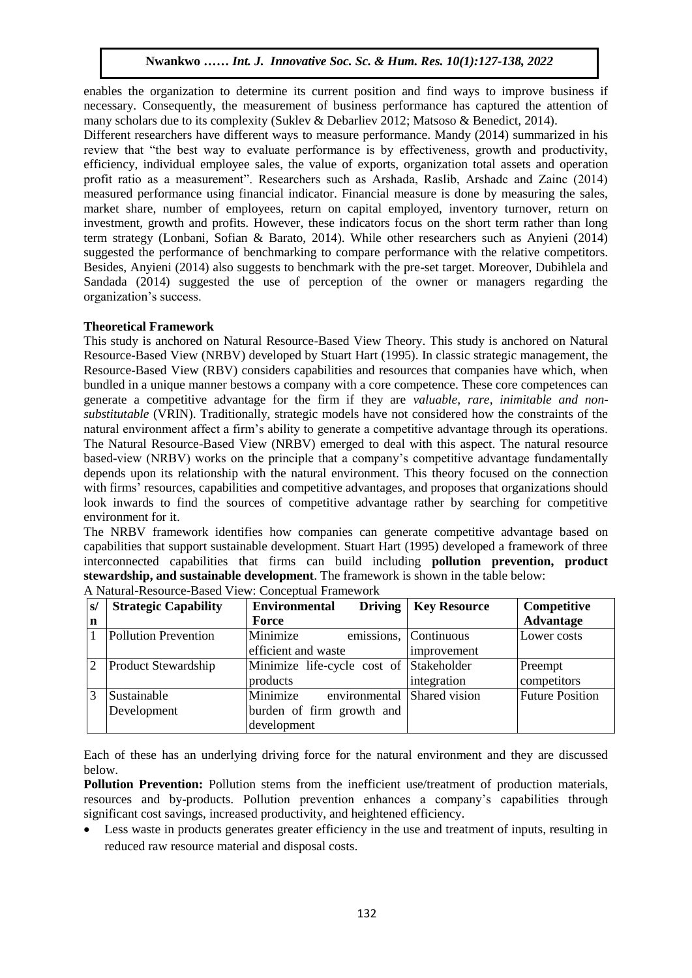enables the organization to determine its current position and find ways to improve business if necessary. Consequently, the measurement of business performance has captured the attention of many scholars due to its complexity (Suklev & Debarliev 2012; Matsoso & Benedict, 2014).

Different researchers have different ways to measure performance. Mandy (2014) summarized in his review that "the best way to evaluate performance is by effectiveness, growth and productivity, efficiency, individual employee sales, the value of exports, organization total assets and operation profit ratio as a measurement". Researchers such as Arshada, Raslib, Arshadc and Zainc (2014) profit ratio as a measurement . Researchers such as Arshaua, Rasho, Arshauc and Zanic  $(2014)$  measured performance using financial indicator. Financial measure is done by measuring the sales, market share, number of employees, return on capital employed, inventory turnover, return on investment, growth and profits. However, these indicators focus on the short term rather than long investment, growth and profits. However, these indicators focus on the short term rather than long term strategy (Lonbani, Sofian & Barato, 2014). While other researchers such as Anyieni (2014) suggested the performance of benchmarking to compare performance with the relative competitors. Besides, Anyieni (2014) also suggests to benchmark with the pre-set target. Moreover, Dubihlela and Sandada (2014) suggested the use of perception of the owner or managers regarding the organization's success.

#### **Theoretical Framework**

This study is anchored on Natural Resource-Based View Theory. This study is anchored on Natural Resource-Based View (NRBV) developed by Stuart Hart (1995). In classic strategic management, the Resource-Based View (RBV) considers capabilities and resources that companies have which, when bundled in a unique manner bestows a company with a core competence. These core competences can generate a competitive advantage for the firm if they are *valuable, rare, inimitable and nonsubstitutable* (VRIN). Traditionally, strategic models have not considered how the constraints of the natural environment affect a firm's ability to generate a competitive advantage through its operations. The Natural Resource-Based View (NRBV) emerged to deal with this aspect. The natural resource based-view (NRBV) works on the principle that a company's competitive advantage fundamentally depends upon its relationship with the natural environment. This theory focused on the connection with firms' resources, capabilities and competitive advantages, and proposes that organizations should look inwards to find the sources of competitive advantage rather by searching for competitive environment for it.

The NRBV framework identifies how companies can generate competitive advantage based on capabilities that support sustainable development. Stuart Hart (1995) developed a framework of three interconnected capabilities that firms can build including **pollution prevention, product stewardship, and sustainable development**. The framework is shown in the table below:

| $\vert s \vert$ | <b>Strategic Capability</b> | Driving<br><b>Environmental</b>         | <b>Key Resource</b> | Competitive            |
|-----------------|-----------------------------|-----------------------------------------|---------------------|------------------------|
| $\mathbf n$     |                             | Force                                   |                     | <b>Advantage</b>       |
|                 | <b>Pollution Prevention</b> | Minimize<br>emissions,                  | Continuous          | Lower costs            |
|                 |                             | efficient and waste                     | improvement         |                        |
|                 | <b>Product Stewardship</b>  | Minimize life-cycle cost of Stakeholder |                     | Preempt                |
|                 |                             | products                                | integration         | competitors            |
|                 | Sustainable                 | Minimize<br>environmental Shared vision |                     | <b>Future Position</b> |
|                 | Development                 | burden of firm growth and               |                     |                        |
|                 |                             | development                             |                     |                        |

| A Natural-Resource-Based View: Conceptual Framework |  |  |  |
|-----------------------------------------------------|--|--|--|
|-----------------------------------------------------|--|--|--|

Each of these has an underlying driving force for the natural environment and they are discussed below.

**Pollution Prevention:** Pollution stems from the inefficient use/treatment of production materials, resources and by-products. Pollution prevention enhances a company's capabilities through significant cost savings, increased productivity, and heightened efficiency.

 Less waste in products generates greater efficiency in the use and treatment of inputs, resulting in reduced raw resource material and disposal costs.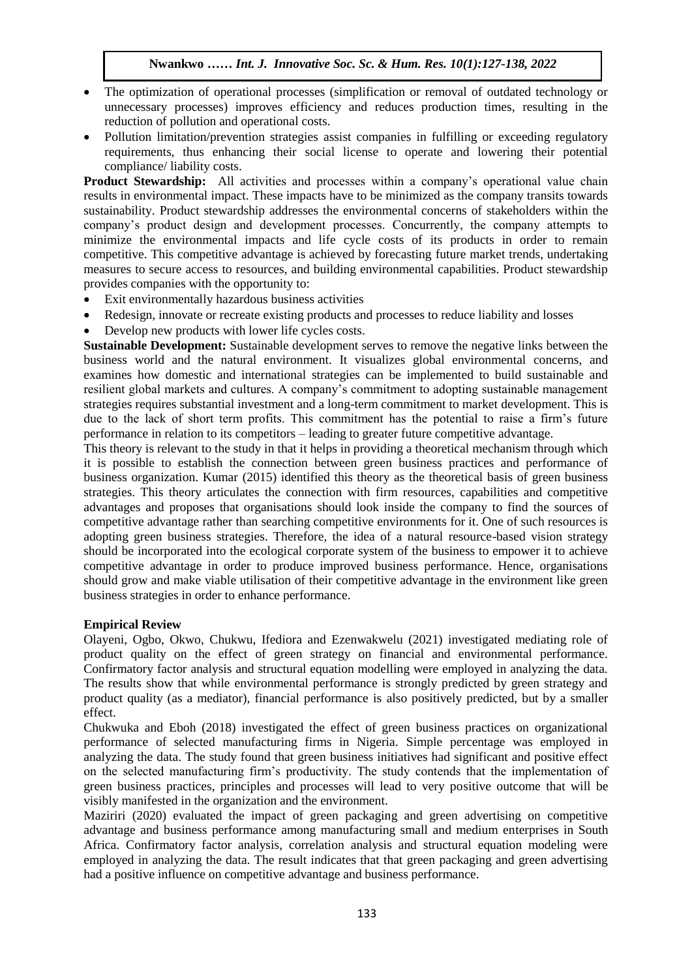- The optimization of operational processes (simplification or removal of outdated technology or unnecessary processes) improves efficiency and reduces production times, resulting in the reduction of pollution and operational costs. of pollution and operational costs.
- Pollution limitation/prevention strategies assist companies in fulfilling or exceeding regulatory requirements, thus enhancing their social license to operate and lowering their potential compliance/ liability costs.

**Product Stewardship:** All activities and processes within a company's operational value chain **Trouted Stewardship.** An activities and processes within a company s operational value enam-<br>results in environmental impact. These impacts have to be minimized as the company transits towards sustainability. Product stewardship addresses the environmental concerns of stakeholders within the company's product design and development processes. Concurrently, the company attempts to minimize the environmental impacts and life cycle costs of its products in order to remain competitive. This competitive advantage is achieved by forecasting future market trends, undertaking measures to secure access to resources, and building environmental capabilities. Product stewardship provides companies with the opportunity to:

- Exit environmentally hazardous business activities
- Redesign, innovate or recreate existing products and processes to reduce liability and losses
- Develop new products with lower life cycles costs.

**Sustainable Development:** Sustainable development serves to remove the negative links between the business world and the natural environment. It visualizes global environmental concerns, and examines how domestic and international strategies can be implemented to build sustainable and resilient global markets and cultures. A company's commitment to adopting sustainable management strategies requires substantial investment and a long-term commitment to market development. This is due to the lack of short term profits. This commitment has the potential to raise a firm's future performance in relation to its competitors – leading to greater future competitive advantage.

This theory is relevant to the study in that it helps in providing a theoretical mechanism through which it is possible to establish the connection between green business practices and performance of business organization. Kumar (2015) identified this theory as the theoretical basis of green business strategies. This theory articulates the connection with firm resources, capabilities and competitive advantages and proposes that organisations should look inside the company to find the sources of competitive advantage rather than searching competitive environments for it. One of such resources is adopting green business strategies. Therefore, the idea of a natural resource-based vision strategy should be incorporated into the ecological corporate system of the business to empower it to achieve competitive advantage in order to produce improved business performance. Hence, organisations should grow and make viable utilisation of their competitive advantage in the environment like green business strategies in order to enhance performance.

#### **Empirical Review**

Olayeni, Ogbo, Okwo, Chukwu, Ifediora and Ezenwakwelu (2021) investigated mediating role of product quality on the effect of green strategy on financial and environmental performance. Confirmatory factor analysis and structural equation modelling were employed in analyzing the data. The results show that while environmental performance is strongly predicted by green strategy and product quality (as a mediator), financial performance is also positively predicted, but by a smaller effect.

Chukwuka and Eboh (2018) investigated the effect of green business practices on organizational performance of selected manufacturing firms in Nigeria. Simple percentage was employed in analyzing the data. The study found that green business initiatives had significant and positive effect on the selected manufacturing firm's productivity. The study contends that the implementation of green business practices, principles and processes will lead to very positive outcome that will be visibly manifested in the organization and the environment.

Maziriri (2020) evaluated the impact of green packaging and green advertising on competitive advantage and business performance among manufacturing small and medium enterprises in South Africa. Confirmatory factor analysis, correlation analysis and structural equation modeling were employed in analyzing the data. The result indicates that that green packaging and green advertising had a positive influence on competitive advantage and business performance.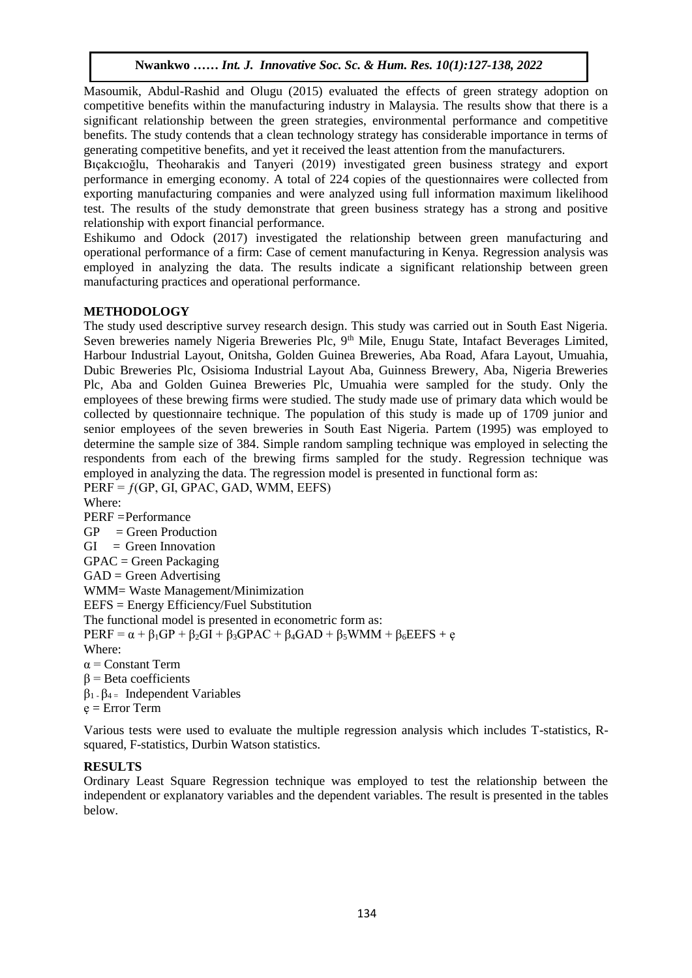Masoumik, Abdul-Rashid and Olugu (2015) evaluated the effects of green strategy adoption on competitive benefits within the manufacturing industry in Malaysia. The results show that there is a significant relationship between the green strategies, environmental performance and competitive significant relationship between the green strategies, environmental performance and competitive benefits. The study contends that a clean technology strategy has considerable importance in terms of generating competitive benefits, and yet it received the least attention from the manufacturers.

Bicharing competitive centeries, and you a received the reast attention from the manufacturers.<br>Bicakcioglu, Theoharakis and Tanyeri (2019) investigated green business strategy and export performance in emerging economy. A total of 224 copies of the questionnaires were collected from exporting manufacturing companies and were analyzed using full information maximum likelihood test. The results of the study demonstrate that green business strategy has a strong and positive relationship with export financial performance.

Eshikumo and Odock (2017) investigated the relationship between green manufacturing and operational performance of a firm: Case of cement manufacturing in Kenya. Regression analysis was employed in analyzing the data. The results indicate a significant relationship between green manufacturing practices and operational performance.

### **METHODOLOGY**

The study used descriptive survey research design. This study was carried out in South East Nigeria. Seven breweries namely Nigeria Breweries Plc, 9<sup>th</sup> Mile, Enugu State, Intafact Beverages Limited, Harbour Industrial Layout, Onitsha, Golden Guinea Breweries, Aba Road, Afara Layout, Umuahia, Dubic Breweries Plc, Osisioma Industrial Layout Aba, Guinness Brewery, Aba, Nigeria Breweries Plc, Aba and Golden Guinea Breweries Plc, Umuahia were sampled for the study. Only the employees of these brewing firms were studied. The study made use of primary data which would be collected by questionnaire technique. The population of this study is made up of 1709 junior and senior employees of the seven breweries in South East Nigeria. Partem (1995) was employed to determine the sample size of 384. Simple random sampling technique was employed in selecting the respondents from each of the brewing firms sampled for the study. Regression technique was employed in analyzing the data. The regression model is presented in functional form as:

 $PERF = f(GP, GI, GPAC, GAD, WMM, EEFS)$ Where: PERF =Performance  $GP = Green Production$  $GI = Green Innovation$  $GPAC = Green Packing$  $GAD = Green$  Advertising WMM= Waste Management/Minimization EEFS = Energy Efficiency/Fuel Substitution The functional model is presented in econometric form as:  $PERF = \alpha + \beta_1 GP + \beta_2 GI + \beta_3 GPAC + \beta_4 GAD + \beta_5 WMM + \beta_6 EEFS + e$ Where:  $\alpha$  = Constant Term  $β = Beta coefficients$ β1 - β4 = Independent Variables  $e = Error Term$ 

Various tests were used to evaluate the multiple regression analysis which includes T-statistics, Rsquared, F-statistics, Durbin Watson statistics.

#### **RESULTS**

Ordinary Least Square Regression technique was employed to test the relationship between the independent or explanatory variables and the dependent variables. The result is presented in the tables below.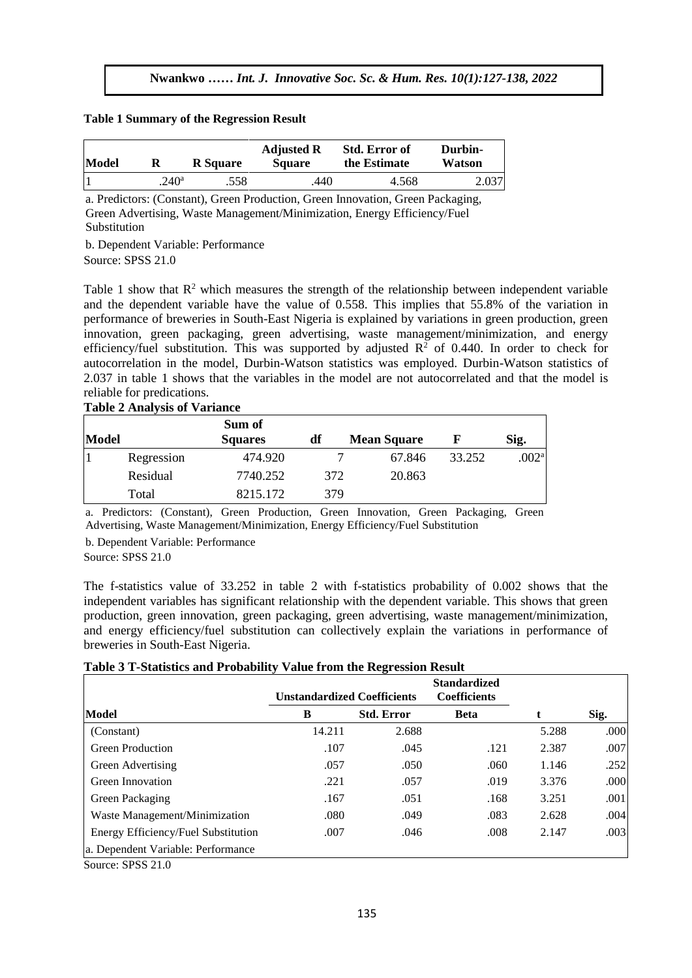#### **Table 1 Summary of the Regression Result**   $\mathcal{A}$

| Model |               | <b>R</b> Square | <b>Adjusted R</b><br><b>Square</b> | <b>Std. Error of</b><br>the Estimate | Durbin-<br>Watson |
|-------|---------------|-----------------|------------------------------------|--------------------------------------|-------------------|
|       | $240^{\rm a}$ | .558            | .440                               | 4.568                                | 2.037             |

a. Predictors: (Constant), Green Production, Green Innovation, Green Packaging, Green Advertising, Waste Management/Minimization, Energy Efficiency/Fuel Substitution

b. Dependent Variable: Performance Source: SPSS 21.0  $\mathcal{L}_{1.0}$ 

Table 1 show that  $\mathbb{R}^2$  which measures the strength of the relationship between independent variable rable 1 show that K which heasures the suength of the relationship between independent variable and the dependent variable have the value of 0.558. This implies that 55.8% of the variation in performance of breweries in South-East Nigeria is explained by variations in green production, green innovation, green packaging, green advertising, waste management/minimization, and energy efficiency/fuel substitution. This was supported by adjusted  $R^2$  of 0.440. In order to check for autocorrelation in the model, Durbin-Watson statistics was employed. Durbin-Watson statistics of 2.037 in table 1 shows that the variables in the model are not autocorrelated and that the model is reliable for predications.

#### **Table 2 Analysis of Variance**

| Model |            | Sum of<br><b>Squares</b> | df  | <b>Mean Square</b> |        | Sig.                |  |
|-------|------------|--------------------------|-----|--------------------|--------|---------------------|--|
|       | Regression | 474.920                  |     | 67.846             | 33.252 | $.002^{\mathrm{a}}$ |  |
|       | Residual   | 7740.252                 | 372 | 20.863             |        |                     |  |
|       | Total      | 8215.172                 | 379 |                    |        |                     |  |

a. Predictors: (Constant), Green Production, Green Innovation, Green Packaging, Green Advertising, Waste Management/Minimization, Energy Efficiency/Fuel Substitution

b. Dependent Variable: Performance

Source: SPSS 21.0

The f-statistics value of 33.252 in table 2 with f-statistics probability of 0.002 shows that the independent variables has significant relationship with the dependent variable. This shows that green production, green innovation, green packaging, green advertising, waste management/minimization, and energy efficiency/fuel substitution can collectively explain the variations in performance of breweries in South-East Nigeria.

## **Table 3 T-Statistics and Probability Value from the Regression Result**

|                                     |        | <b>Standardized</b><br><b>Coefficients</b><br><b>Unstandardized Coefficients</b> |             |       |      |
|-------------------------------------|--------|----------------------------------------------------------------------------------|-------------|-------|------|
| Model                               | B      | <b>Std. Error</b>                                                                | <b>Beta</b> | t     | Sig. |
| (Constant)                          | 14.211 | 2.688                                                                            |             | 5.288 | .000 |
| <b>Green Production</b>             | .107   | .045                                                                             | .121        | 2.387 | .007 |
| Green Advertising                   | .057   | .050                                                                             | .060        | 1.146 | .252 |
| Green Innovation                    | .221   | .057                                                                             | .019        | 3.376 | .000 |
| Green Packaging                     | .167   | .051                                                                             | .168        | 3.251 | .001 |
| Waste Management/Minimization       | .080   | .049                                                                             | .083        | 2.628 | .004 |
| Energy Efficiency/Fuel Substitution | .007   | .046                                                                             | .008        | 2.147 | .003 |
| a. Dependent Variable: Performance  |        |                                                                                  |             |       |      |

Source: SPSS 21.0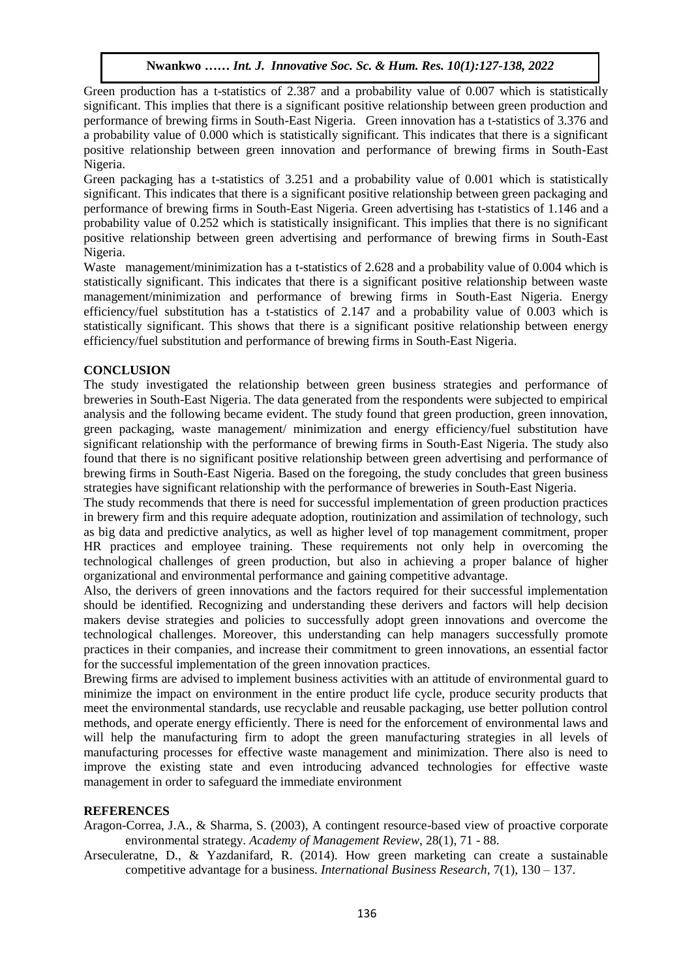Green production has a t-statistics of 2.387 and a probability value of 0.007 which is statistically significant. This implies that there is a significant positive relationship between green production and performance of brewing firms in South-East Nigeria. Green innovation has a t-statistics of 3.376 and performance of blewing firms in Bouth-East tyigena. Social importation has a e-statistics of 5.570 and a probability value of 0.000 which is statistically significant. This indicates that there is a significant positive relationship between green innovation and performance of brewing firms in South-East Nigeria. Aruguard Souls and the Material Section and Section 1999 of Soc. 8, 1999

Green packaging has a t-statistics of 3.251 and a probability value of 0.001 which is statistically significant. This indicates that there is a significant positive relationship between green packaging and performance of brewing firms in South-East Nigeria. Green advertising has t-statistics of 1.146 and a probability value of 0.252 which is statistically insignificant. This implies that there is no significant positive relationship between green advertising and performance of brewing firms in South-East Nigeria.

Waste management/minimization has a t-statistics of 2.628 and a probability value of 0.004 which is statistically significant. This indicates that there is a significant positive relationship between waste management/minimization and performance of brewing firms in South-East Nigeria. Energy efficiency/fuel substitution has a t-statistics of 2.147 and a probability value of 0.003 which is statistically significant. This shows that there is a significant positive relationship between energy efficiency/fuel substitution and performance of brewing firms in South-East Nigeria.

### **CONCLUSION**

The study investigated the relationship between green business strategies and performance of breweries in South-East Nigeria. The data generated from the respondents were subjected to empirical analysis and the following became evident. The study found that green production, green innovation, green packaging, waste management/ minimization and energy efficiency/fuel substitution have significant relationship with the performance of brewing firms in South-East Nigeria. The study also found that there is no significant positive relationship between green advertising and performance of brewing firms in South-East Nigeria. Based on the foregoing, the study concludes that green business strategies have significant relationship with the performance of breweries in South-East Nigeria.

The study recommends that there is need for successful implementation of green production practices in brewery firm and this require adequate adoption, routinization and assimilation of technology, such as big data and predictive analytics, as well as higher level of top management commitment, proper HR practices and employee training. These requirements not only help in overcoming the technological challenges of green production, but also in achieving a proper balance of higher organizational and environmental performance and gaining competitive advantage.

Also, the derivers of green innovations and the factors required for their successful implementation should be identified. Recognizing and understanding these derivers and factors will help decision makers devise strategies and policies to successfully adopt green innovations and overcome the technological challenges. Moreover, this understanding can help managers successfully promote practices in their companies, and increase their commitment to green innovations, an essential factor for the successful implementation of the green innovation practices.

Brewing firms are advised to implement business activities with an attitude of environmental guard to minimize the impact on environment in the entire product life cycle, produce security products that meet the environmental standards, use recyclable and reusable packaging, use better pollution control methods, and operate energy efficiently. There is need for the enforcement of environmental laws and will help the manufacturing firm to adopt the green manufacturing strategies in all levels of manufacturing processes for effective waste management and minimization. There also is need to improve the existing state and even introducing advanced technologies for effective waste management in order to safeguard the immediate environment

#### **REFERENCES**

Aragon-Correa, J.A., & Sharma, S. (2003), A contingent resource-based view of proactive corporate environmental strategy. *Academy of Management Review*, 28(1), 71 - 88.

Arseculeratne, D., & Yazdanifard, R. (2014). How green marketing can create a sustainable competitive advantage for a business. *International Business Research*, 7(1), 130 – 137.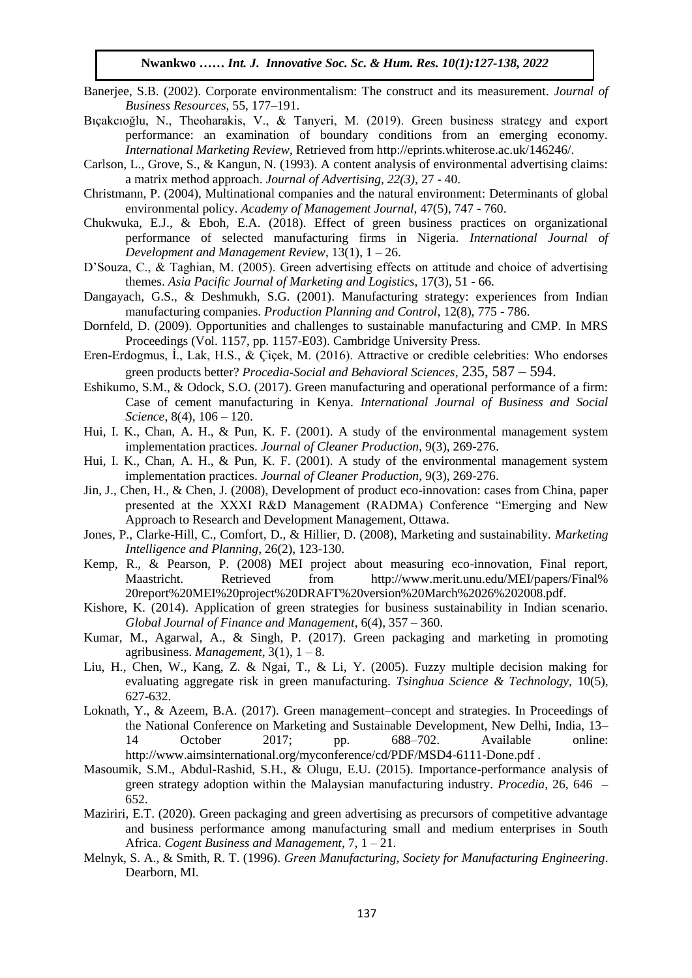- Banerjee, S.B. (2002). Corporate environmentalism: The construct and its measurement. *Journal of Business Resources*, 55, 177–191.
- Bıçakcıoğlu, N., Theoharakis, V., & Tanyeri, M. (2019). Green business strategy and export performance: an examination of boundary conditions from an emerging economy. *International Marketing Review*, Retrieved from http://eprints.whiterose.ac.uk/146246/.
- mernational marketing Review, Retrieved Hold http://epinits.willefose.ac.uk/140240/.<br>Carlson, L., Grove, S., & Kangun, N. (1993). A content analysis of environmental advertising claims: a matrix method approach. *Journal of Advertising, 22(3),* 27 - 40.
- Christmann, P. (2004), Multinational companies and the natural environment: Determinants of global environmental policy. *Academy of Management Journal*, 47(5), 747 - 760.
- Chukwuka, E.J.,  $\&$  Eboh, E.A. (2018). Effect of green business practices on organizational performance of selected manufacturing firms in Nigeria. *International Journal of*  Development and Management Review, 13(1), 1 – 26.
- D'Souza, C., & Taghian, M. (2005). Green advertising effects on attitude and choice of advertising themes. Asia Pacific Journal of Marketing and Logistics, 17(3), 51 - 66.
- Dangayach, G.S., & Deshmukh, S.G. (2001). Manufacturing strategy: experiences from Indian manufacturing companies. *Production Planning and Control*, 12(8), 775 - 786.
- Dornfeld, D. (2009). Opportunities and challenges to sustainable manufacturing and CMP. In MRS Proceedings (Vol. 1157, pp. 1157-E03). Cambridge University Press.
- Eren-Erdogmus, İ., Lak, H.S., & Çiçek, M. (2016). Attractive or credible celebrities: Who endorses green products better? *Procedia-Social and Behavioral Sciences*, 235, 587 – 594.
- Eshikumo, S.M., & Odock, S.O. (2017). Green manufacturing and operational performance of a firm: Case of cement manufacturing in Kenya. *International Journal of Business and Social Science*, 8(4), 106 – 120.
- Hui, I. K., Chan, A. H., & Pun, K. F. (2001). A study of the environmental management system implementation practices. *Journal of Cleaner Production*, 9(3), 269-276.
- Hui, I. K., Chan, A. H., & Pun, K. F. (2001). A study of the environmental management system implementation practices. *Journal of Cleaner Production*, 9(3), 269-276.
- Jin, J., Chen, H., & Chen, J. (2008), Development of product eco-innovation: cases from China, paper presented at the XXXI R&D Management (RADMA) Conference "Emerging and New Approach to Research and Development Management, Ottawa.
- Jones, P., Clarke-Hill, C., Comfort, D., & Hillier, D. (2008), Marketing and sustainability. *Marketing Intelligence and Planning*, 26(2), 123-130.
- Kemp, R., & Pearson, P. (2008) MEI project about measuring eco-innovation, Final report, Maastricht. Retrieved from http://www.merit.unu.edu/MEI/papers/Final% 20report%20MEI%20project%20DRAFT%20version%20March%2026%202008.pdf.
- Kishore, K. (2014). Application of green strategies for business sustainability in Indian scenario. *Global Journal of Finance and Management*, 6(4), 357 – 360.
- Kumar, M., Agarwal, A., & Singh, P. (2017). Green packaging and marketing in promoting agribusiness. *Management*,  $3(1)$ ,  $1 - 8$ .
- Liu, H., Chen, W., Kang, Z. & Ngai, T., & Li, Y. (2005). Fuzzy multiple decision making for evaluating aggregate risk in green manufacturing. *Tsinghua Science & Technology,* 10(5), 627-632.
- Loknath, Y., & Azeem, B.A. (2017). Green management–concept and strategies. In Proceedings of the National Conference on Marketing and Sustainable Development, New Delhi, India, 13– 14 October 2017; pp. 688–702. Available online: http://www.aimsinternational.org/myconference/cd/PDF/MSD4-6111-Done.pdf .
- Masoumik, S.M., Abdul-Rashid, S.H., & Olugu, E.U. (2015). Importance-performance analysis of green strategy adoption within the Malaysian manufacturing industry. *Procedia,* 26, 646 – 652.
- Maziriri, E.T. (2020). Green packaging and green advertising as precursors of competitive advantage and business performance among manufacturing small and medium enterprises in South Africa. *Cogent Business and Management*, 7, 1 – 21.
- Melnyk, S. A., & Smith, R. T. (1996). *Green Manufacturing, Society for Manufacturing Engineering*. Dearborn, MI.